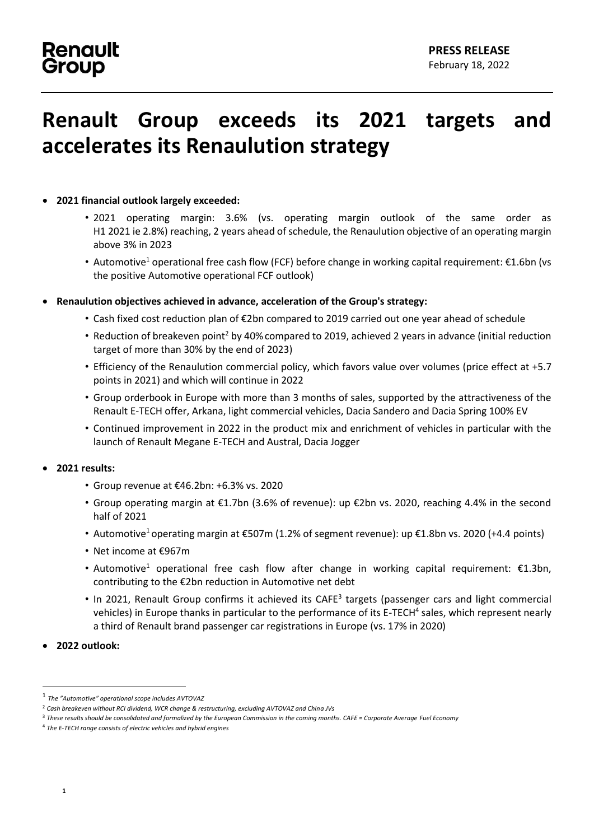# **Renault Group exceeds its 2021 targets and accelerates its Renaulution strategy**

#### • **2021 financial outlook largely exceeded:**

- 2021 operating margin: 3.6% (vs. operating margin outlook of the same order as H1 2021 ie 2.8%) reaching, 2 years ahead of schedule, the Renaulution objective of an operating margin above 3% in 2023
- Automotive<sup>1</sup> operational free cash flow (FCF) before change in working capital requirement: €1.6bn (vs the positive Automotive operational FCF outlook)
- **Renaulution objectives achieved in advance, acceleration of the Group's strategy:**
	- Cash fixed cost reduction plan of €2bn compared to 2019 carried out one year ahead of schedule
	- Reduction of breakeven point<sup>2</sup> by 40% compared to 2019, achieved 2 years in advance (initial reduction target of more than 30% by the end of 2023)
	- Efficiency of the Renaulution commercial policy, which favors value over volumes (price effect at +5.7 points in 2021) and which will continue in 2022
	- Group orderbook in Europe with more than 3 months of sales, supported by the attractiveness of the Renault E-TECH offer, Arkana, light commercial vehicles, Dacia Sandero and Dacia Spring 100% EV
	- Continued improvement in 2022 in the product mix and enrichment of vehicles in particular with the launch of Renault Megane E-TECH and Austral, Dacia Jogger

#### • **2021 results:**

- Group revenue at €46.2bn: +6.3% vs. 2020
- Group operating margin at €1.7bn (3.6% of revenue): up €2bn vs. 2020, reaching 4.4% in the second half of 2021
- Automotive<sup>1</sup> operating margin at  $\epsilon$ 507m (1.2% of segment revenue): up  $\epsilon$ 1.8bn vs. 2020 (+4.4 points)
- Net income at €967m
- Automotive<sup>1</sup> operational free cash flow after change in working capital requirement: €1.3bn, contributing to the €2bn reduction in Automotive net debt
- In 2021, Renault Group confirms it achieved its CAFE<sup>3</sup> targets (passenger cars and light commercial vehicles) in Europe thanks in particular to the performance of its E-TECH<sup>4</sup> sales, which represent nearly a third of Renault brand passenger car registrations in Europe (vs. 17% in 2020)
- **2022 outlook:**

<sup>1</sup> *The "Automotive" operational scope includes AVTOVAZ*

<sup>2</sup> *Cash breakeven without RCI dividend, WCR change & restructuring, excluding AVTOVAZ and China JVs*

<sup>3</sup> *These results should be consolidated and formalized by the European Commission in the coming months. CAFE = Corporate Average Fuel Economy*

<sup>4</sup> *The E-TECH range consists of electric vehicles and hybrid engines*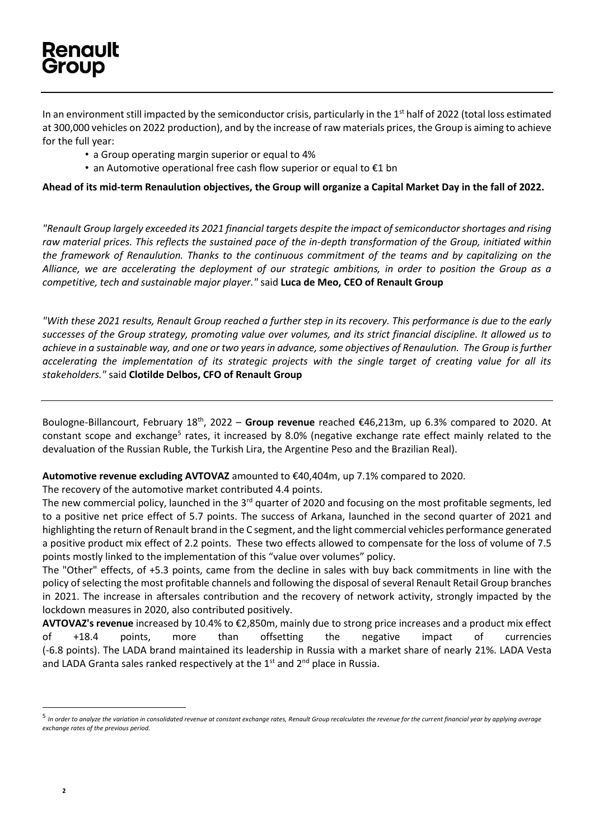In an environment still impacted by the semiconductor crisis, particularly in the 1<sup>st</sup> half of 2022 (total loss estimated at 300,000 vehicles on 2022 production), and by the increase of raw materials prices, the Group is aiming to achieve for the full year:

- a Group operating margin superior or equal to 4%
- an Automotive operational free cash flow superior or equal to €1 bn

**Ahead of its mid-term Renaulution objectives, the Group will organize a Capital Market Day in the fall of 2022.**

*"Renault Group largely exceeded its 2021 financial targets despite the impact of semiconductor shortages and rising raw material prices. This reflects the sustained pace of the in-depth transformation of the Group, initiated within the framework of Renaulution. Thanks to the continuous commitment of the teams and by capitalizing on the Alliance, we are accelerating the deployment of our strategic ambitions, in order to position the Group as a competitive, tech and sustainable major player."* said **Luca de Meo, CEO of Renault Group**

*"With these 2021 results, Renault Group reached a further step in its recovery. This performance is due to the early successes of the Group strategy, promoting value over volumes, and its strict financial discipline. It allowed us to achieve in a sustainable way, and one or two years in advance, some objectives of Renaulution. The Group is further accelerating the implementation of its strategic projects with the single target of creating value for all its stakeholders."* said **Clotilde Delbos, CFO of Renault Group**

Boulogne-Billancourt, February 18<sup>th</sup>, 2022 - Group revenue reached €46,213m, up 6.3% compared to 2020. At constant scope and exchange<sup>5</sup> rates, it increased by 8.0% (negative exchange rate effect mainly related to the devaluation of the Russian Ruble, the Turkish Lira, the Argentine Peso and the Brazilian Real).

**Automotive revenue excluding AVTOVAZ** amounted to €40,404m, up 7.1% compared to 2020.

The recovery of the automotive market contributed 4.4 points.

The new commercial policy, launched in the 3<sup>rd</sup> quarter of 2020 and focusing on the most profitable segments, led to a positive net price effect of 5.7 points. The success of Arkana, launched in the second quarter of 2021 and highlighting the return of Renault brand in the C segment, and the light commercial vehicles performance generated a positive product mix effect of 2.2 points. These two effects allowed to compensate for the loss of volume of 7.5 points mostly linked to the implementation of this "value over volumes" policy.

The "Other" effects, of +5.3 points, came from the decline in sales with buy back commitments in line with the policy of selecting the most profitable channels and following the disposal of several Renault Retail Group branches in 2021. The increase in aftersales contribution and the recovery of network activity, strongly impacted by the lockdown measures in 2020, also contributed positively.

**AVTOVAZ's revenue** increased by 10.4% to €2,850m, mainly due to strong price increases and a product mix effect of +18.4 points, more than offsetting the negative impact of currencies (-6.8 points). The LADA brand maintained its leadership in Russia with a market share of nearly 21%. LADA Vesta and LADA Granta sales ranked respectively at the  $1<sup>st</sup>$  and  $2<sup>nd</sup>$  place in Russia.

<sup>&</sup>lt;sup>5</sup> In order to analyze the variation in consolidated revenue at constant exchange rates, Renault Group recalculates the revenue for the current financial year by applying average *exchange rates of the previous period.*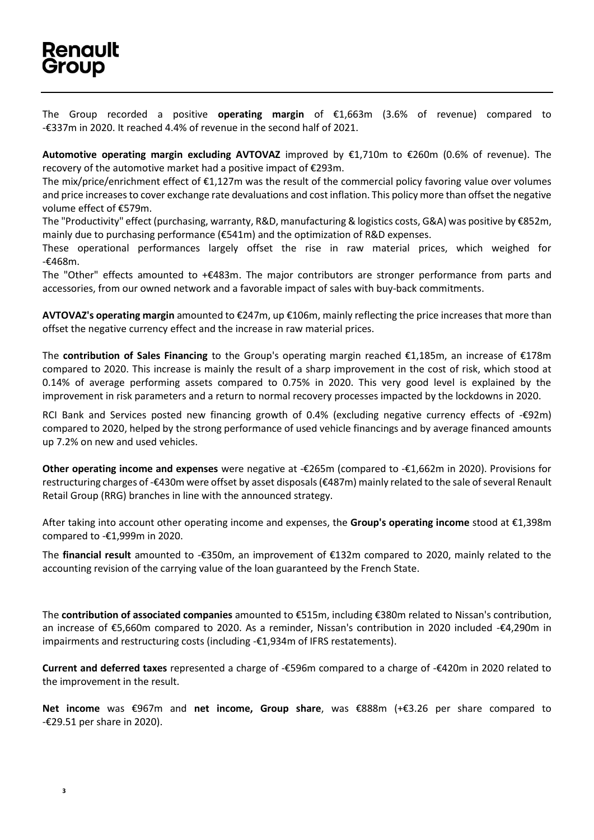The Group recorded a positive **operating margin** of €1,663m (3.6% of revenue) compared to -€337m in 2020. It reached 4.4% of revenue in the second half of 2021.

**Automotive operating margin excluding AVTOVAZ** improved by €1,710m to €260m (0.6% of revenue). The recovery of the automotive market had a positive impact of €293m.

The mix/price/enrichment effect of €1,127m was the result of the commercial policy favoring value over volumes and price increases to cover exchange rate devaluations and cost inflation. This policy more than offset the negative volume effect of €579m.

The "Productivity" effect (purchasing, warranty, R&D, manufacturing & logistics costs, G&A) was positive by €852m, mainly due to purchasing performance (€541m) and the optimization of R&D expenses.

These operational performances largely offset the rise in raw material prices, which weighed for -€468m.

The "Other" effects amounted to +€483m. The major contributors are stronger performance from parts and accessories, from our owned network and a favorable impact of sales with buy-back commitments.

**AVTOVAZ's operating margin** amounted to €247m, up €106m, mainly reflecting the price increases that more than offset the negative currency effect and the increase in raw material prices.

The **contribution of Sales Financing** to the Group's operating margin reached €1,185m, an increase of €178m compared to 2020. This increase is mainly the result of a sharp improvement in the cost of risk, which stood at 0.14% of average performing assets compared to 0.75% in 2020. This very good level is explained by the improvement in risk parameters and a return to normal recovery processes impacted by the lockdowns in 2020.

RCI Bank and Services posted new financing growth of 0.4% (excluding negative currency effects of -€92m) compared to 2020, helped by the strong performance of used vehicle financings and by average financed amounts up 7.2% on new and used vehicles.

**Other operating income and expenses** were negative at -€265m (compared to -€1,662m in 2020). Provisions for restructuring charges of -€430m were offset by asset disposals (€487m) mainly related to the sale of several Renault Retail Group (RRG) branches in line with the announced strategy.

After taking into account other operating income and expenses, the **Group's operating income** stood at €1,398m compared to -€1,999m in 2020.

The **financial result** amounted to -€350m, an improvement of €132m compared to 2020, mainly related to the accounting revision of the carrying value of the loan guaranteed by the French State.

The **contribution of associated companies** amounted to €515m, including €380m related to Nissan's contribution, an increase of €5,660m compared to 2020. As a reminder, Nissan's contribution in 2020 included -€4,290m in impairments and restructuring costs (including -€1,934m of IFRS restatements).

**Current and deferred taxes** represented a charge of -€596m compared to a charge of -€420m in 2020 related to the improvement in the result.

**Net income** was €967m and **net income, Group share**, was €888m (+€3.26 per share compared to -€29.51 per share in 2020).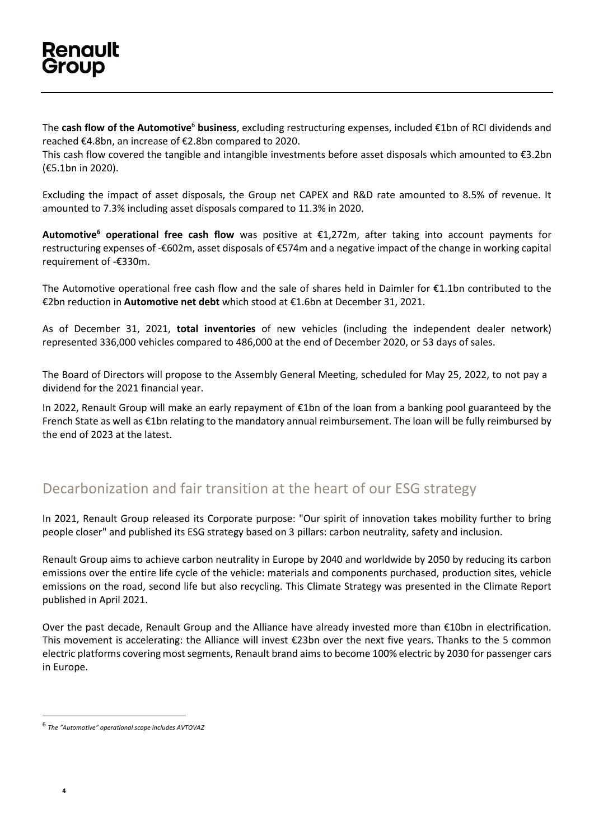The **cash flow of the Automotive**<sup>6</sup> **business**, excluding restructuring expenses, included €1bn of RCI dividends and reached €4.8bn, an increase of €2.8bn compared to 2020.

This cash flow covered the tangible and intangible investments before asset disposals which amounted to €3.2bn (€5.1bn in 2020).

Excluding the impact of asset disposals, the Group net CAPEX and R&D rate amounted to 8.5% of revenue. It amounted to 7.3% including asset disposals compared to 11.3% in 2020.

**Automotive<sup>6</sup> operational free cash flow** was positive at €1,272m, after taking into account payments for restructuring expenses of -€602m, asset disposals of €574m and a negative impact of the change in working capital requirement of -€330m.

The Automotive operational free cash flow and the sale of shares held in Daimler for €1.1bn contributed to the €2bn reduction in **Automotive net debt** which stood at €1.6bn at December 31, 2021.

As of December 31, 2021, **total inventories** of new vehicles (including the independent dealer network) represented 336,000 vehicles compared to 486,000 at the end of December 2020, or 53 days of sales.

The Board of Directors will propose to the Assembly General Meeting, scheduled for May 25, 2022, to not pay a dividend for the 2021 financial year.

In 2022, Renault Group will make an early repayment of €1bn of the loan from a banking pool guaranteed by the French State as well as €1bn relating to the mandatory annual reimbursement. The loan will be fully reimbursed by the end of 2023 at the latest.

#### Decarbonization and fair transition at the heart of our ESG strategy

In 2021, Renault Group released its Corporate purpose: "Our spirit of innovation takes mobility further to bring people closer" and published its ESG strategy based on 3 pillars: carbon neutrality, safety and inclusion.

Renault Group aims to achieve carbon neutrality in Europe by 2040 and worldwide by 2050 by reducing its carbon emissions over the entire life cycle of the vehicle: materials and components purchased, production sites, vehicle emissions on the road, second life but also recycling. This Climate Strategy was presented in the Climate Report published in April 2021.

Over the past decade, Renault Group and the Alliance have already invested more than €10bn in electrification. This movement is accelerating: the Alliance will invest €23bn over the next five years. Thanks to the 5 common electric platforms covering most segments, Renault brand aims to become 100% electric by 2030 for passenger cars in Europe.

**4**

<sup>6</sup> *The "Automotive" operational scope includes AVTOVAZ*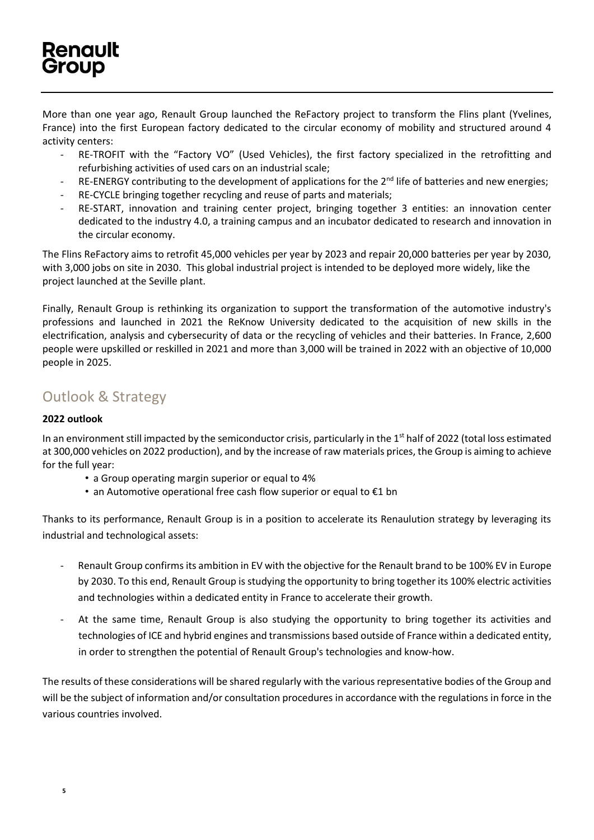More than one year ago, Renault Group launched the ReFactory project to transform the Flins plant (Yvelines, France) into the first European factory dedicated to the circular economy of mobility and structured around 4 activity centers:

- RE-TROFIT with the "Factory VO" (Used Vehicles), the first factory specialized in the retrofitting and refurbishing activities of used cars on an industrial scale;
- RE-ENERGY contributing to the development of applications for the  $2^{nd}$  life of batteries and new energies;
- RE-CYCLE bringing together recycling and reuse of parts and materials;
- RE-START, innovation and training center project, bringing together 3 entities: an innovation center dedicated to the industry 4.0, a training campus and an incubator dedicated to research and innovation in the circular economy.

The Flins ReFactory aims to retrofit 45,000 vehicles per year by 2023 and repair 20,000 batteries per year by 2030, with 3,000 jobs on site in 2030. This global industrial project is intended to be deployed more widely, like the project launched at the Seville plant.

Finally, Renault Group is rethinking its organization to support the transformation of the automotive industry's professions and launched in 2021 the ReKnow University dedicated to the acquisition of new skills in the electrification, analysis and cybersecurity of data or the recycling of vehicles and their batteries. In France, 2,600 people were upskilled or reskilled in 2021 and more than 3,000 will be trained in 2022 with an objective of 10,000 people in 2025.

### Outlook & Strategy

#### **2022 outlook**

In an environment still impacted by the semiconductor crisis, particularly in the 1<sup>st</sup> half of 2022 (total loss estimated at 300,000 vehicles on 2022 production), and by the increase of raw materials prices, the Group is aiming to achieve for the full year:

- a Group operating margin superior or equal to 4%
- an Automotive operational free cash flow superior or equal to €1 bn

Thanks to its performance, Renault Group is in a position to accelerate its Renaulution strategy by leveraging its industrial and technological assets:

- Renault Group confirms its ambition in EV with the objective for the Renault brand to be 100% EV in Europe by 2030. To this end, Renault Group is studying the opportunity to bring together its 100% electric activities and technologies within a dedicated entity in France to accelerate their growth.
- At the same time, Renault Group is also studying the opportunity to bring together its activities and technologies of ICE and hybrid engines and transmissions based outside of France within a dedicated entity, in order to strengthen the potential of Renault Group's technologies and know-how.

The results of these considerations will be shared regularly with the various representative bodies of the Group and will be the subject of information and/or consultation procedures in accordance with the regulations in force in the various countries involved.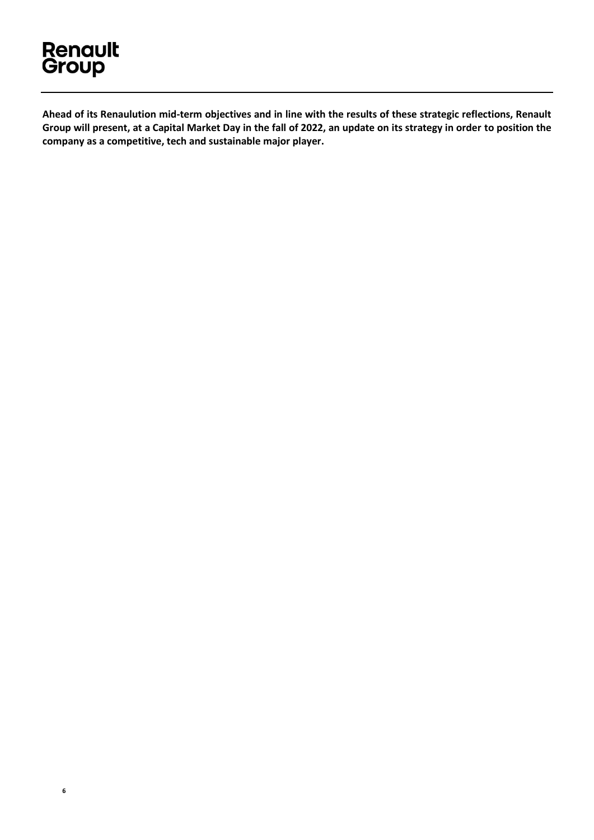# **Renault**<br>Group

**6**

**Ahead of its Renaulution mid-term objectives and in line with the results of these strategic reflections, Renault Group will present, at a Capital Market Day in the fall of 2022, an update on its strategy in order to position the company as a competitive, tech and sustainable major player.**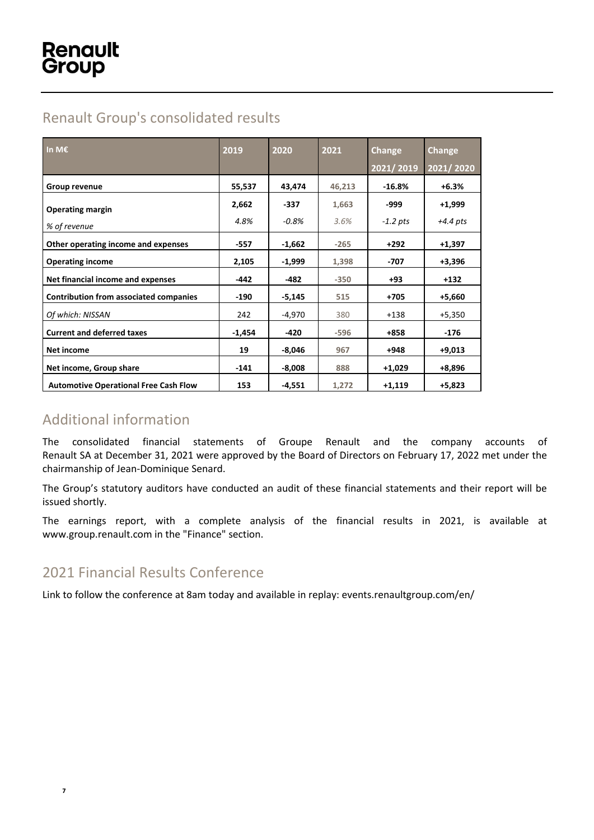## Renault Group's consolidated results

| In M€                                         | 2019     | 2020     | 2021   | Change     | Change     |
|-----------------------------------------------|----------|----------|--------|------------|------------|
|                                               |          |          |        | 2021/2019  | 2021/2020  |
| Group revenue                                 | 55,537   | 43,474   | 46,213 | $-16.8\%$  | $+6.3%$    |
| <b>Operating margin</b>                       | 2,662    | $-337$   | 1,663  | -999       | $+1,999$   |
| % of revenue                                  | 4.8%     | $-0.8%$  | 3.6%   | $-1.2$ pts | $+4.4$ pts |
| Other operating income and expenses           | -557     | $-1,662$ | $-265$ | $+292$     | $+1,397$   |
| <b>Operating income</b>                       | 2,105    | $-1,999$ | 1,398  | -707       | $+3,396$   |
| Net financial income and expenses             | $-442$   | $-482$   | $-350$ | +93        | $+132$     |
| <b>Contribution from associated companies</b> | $-190$   | $-5,145$ | 515    | +705       | $+5,660$   |
| Of which: NISSAN                              | 242      | $-4,970$ | 380    | $+138$     | $+5,350$   |
| <b>Current and deferred taxes</b>             | $-1,454$ | $-420$   | $-596$ | $+858$     | $-176$     |
| Net income                                    | 19       | $-8,046$ | 967    | +948       | $+9,013$   |
| Net income, Group share                       | $-141$   | $-8,008$ | 888    | $+1,029$   | $+8,896$   |
| <b>Automotive Operational Free Cash Flow</b>  | 153      | $-4,551$ | 1,272  | $+1,119$   | $+5,823$   |

## Additional information

The consolidated financial statements of Groupe Renault and the company accounts of Renault SA at December 31, 2021 were approved by the Board of Directors on February 17, 2022 met under the chairmanship of Jean-Dominique Senard.

The Group's statutory auditors have conducted an audit of these financial statements and their report will be issued shortly.

The earnings report, with a complete analysis of the financial results in 2021, is available at www.group.renault.com in the "Finance" section.

## 2021 Financial Results Conference

Link to follow the conference at 8am today and available in replay[: events.renaultgroup.com/en/](https://events.renaultgroup.com/en/?utm_source=Push%20mail%20journalistes%20EN%20-%20Financial%20Results&utm_medium=Email%20journalistes&utm_campaign=Financial%20Results%202021)